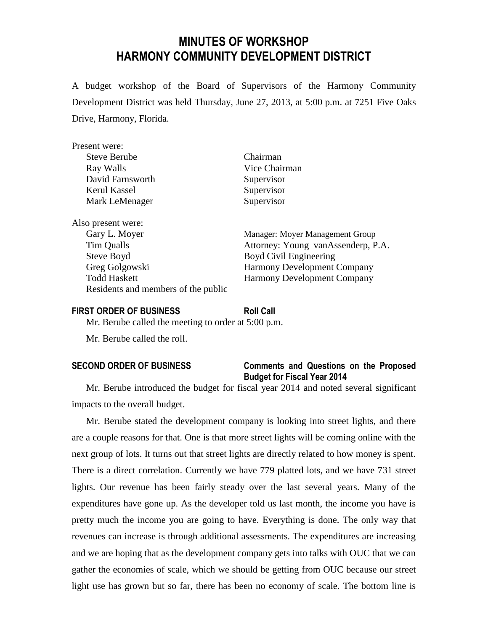# **MINUTES OF WORKSHOP HARMONY COMMUNITY DEVELOPMENT DISTRICT**

A budget workshop of the Board of Supervisors of the Harmony Community Development District was held Thursday, June 27, 2013, at 5:00 p.m. at 7251 Five Oaks Drive, Harmony, Florida.

| Present were:                       |                                    |
|-------------------------------------|------------------------------------|
| <b>Steve Berube</b>                 | Chairman                           |
| Ray Walls                           | Vice Chairman                      |
| David Farnsworth                    | Supervisor                         |
| Kerul Kassel                        | Supervisor                         |
| Mark LeMenager                      | Supervisor                         |
| Also present were:                  |                                    |
| Gary L. Moyer                       | Manager: Moyer Management Group    |
| Tim Qualls                          | Attorney: Young vanAssenderp, P.A. |
| Steve Boyd                          | Boyd Civil Engineering             |
| Greg Golgowski                      | <b>Harmony Development Company</b> |
| <b>Todd Haskett</b>                 | <b>Harmony Development Company</b> |
| Residents and members of the public |                                    |

#### **FIRST ORDER OF BUSINESS Roll Call**

Mr. Berube called the meeting to order at 5:00 p.m.

Mr. Berube called the roll.

#### **SECOND ORDER OF BUSINESS Comments and Questions on the Proposed Budget for Fiscal Year 2014**

Mr. Berube introduced the budget for fiscal year 2014 and noted several significant impacts to the overall budget.

Mr. Berube stated the development company is looking into street lights, and there are a couple reasons for that. One is that more street lights will be coming online with the next group of lots. It turns out that street lights are directly related to how money is spent. There is a direct correlation. Currently we have 779 platted lots, and we have 731 street lights. Our revenue has been fairly steady over the last several years. Many of the expenditures have gone up. As the developer told us last month, the income you have is pretty much the income you are going to have. Everything is done. The only way that revenues can increase is through additional assessments. The expenditures are increasing and we are hoping that as the development company gets into talks with OUC that we can gather the economies of scale, which we should be getting from OUC because our street light use has grown but so far, there has been no economy of scale. The bottom line is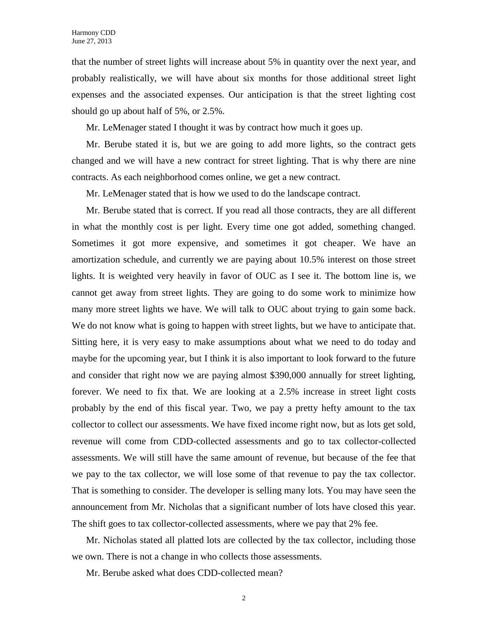that the number of street lights will increase about 5% in quantity over the next year, and probably realistically, we will have about six months for those additional street light expenses and the associated expenses. Our anticipation is that the street lighting cost should go up about half of 5%, or 2.5%.

Mr. LeMenager stated I thought it was by contract how much it goes up.

Mr. Berube stated it is, but we are going to add more lights, so the contract gets changed and we will have a new contract for street lighting. That is why there are nine contracts. As each neighborhood comes online, we get a new contract.

Mr. LeMenager stated that is how we used to do the landscape contract.

Mr. Berube stated that is correct. If you read all those contracts, they are all different in what the monthly cost is per light. Every time one got added, something changed. Sometimes it got more expensive, and sometimes it got cheaper. We have an amortization schedule, and currently we are paying about 10.5% interest on those street lights. It is weighted very heavily in favor of OUC as I see it. The bottom line is, we cannot get away from street lights. They are going to do some work to minimize how many more street lights we have. We will talk to OUC about trying to gain some back. We do not know what is going to happen with street lights, but we have to anticipate that. Sitting here, it is very easy to make assumptions about what we need to do today and maybe for the upcoming year, but I think it is also important to look forward to the future and consider that right now we are paying almost \$390,000 annually for street lighting, forever. We need to fix that. We are looking at a 2.5% increase in street light costs probably by the end of this fiscal year. Two, we pay a pretty hefty amount to the tax collector to collect our assessments. We have fixed income right now, but as lots get sold, revenue will come from CDD-collected assessments and go to tax collector-collected assessments. We will still have the same amount of revenue, but because of the fee that we pay to the tax collector, we will lose some of that revenue to pay the tax collector. That is something to consider. The developer is selling many lots. You may have seen the announcement from Mr. Nicholas that a significant number of lots have closed this year. The shift goes to tax collector-collected assessments, where we pay that 2% fee.

Mr. Nicholas stated all platted lots are collected by the tax collector, including those we own. There is not a change in who collects those assessments.

Mr. Berube asked what does CDD-collected mean?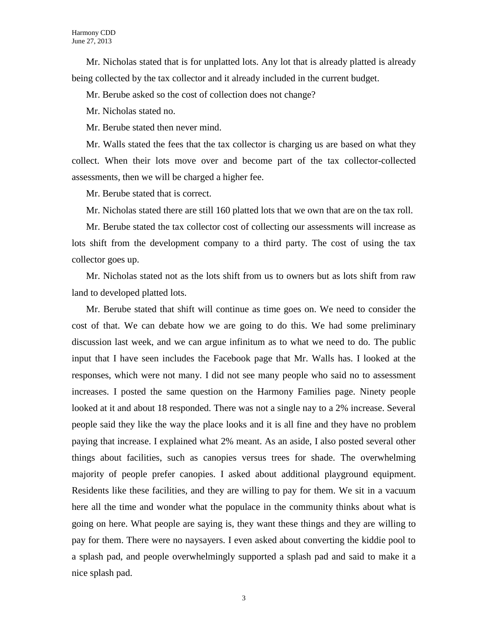Mr. Nicholas stated that is for unplatted lots. Any lot that is already platted is already being collected by the tax collector and it already included in the current budget.

Mr. Berube asked so the cost of collection does not change?

Mr. Nicholas stated no.

Mr. Berube stated then never mind.

Mr. Walls stated the fees that the tax collector is charging us are based on what they collect. When their lots move over and become part of the tax collector-collected assessments, then we will be charged a higher fee.

Mr. Berube stated that is correct.

Mr. Nicholas stated there are still 160 platted lots that we own that are on the tax roll.

Mr. Berube stated the tax collector cost of collecting our assessments will increase as lots shift from the development company to a third party. The cost of using the tax collector goes up.

Mr. Nicholas stated not as the lots shift from us to owners but as lots shift from raw land to developed platted lots.

Mr. Berube stated that shift will continue as time goes on. We need to consider the cost of that. We can debate how we are going to do this. We had some preliminary discussion last week, and we can argue infinitum as to what we need to do. The public input that I have seen includes the Facebook page that Mr. Walls has. I looked at the responses, which were not many. I did not see many people who said no to assessment increases. I posted the same question on the Harmony Families page. Ninety people looked at it and about 18 responded. There was not a single nay to a 2% increase. Several people said they like the way the place looks and it is all fine and they have no problem paying that increase. I explained what 2% meant. As an aside, I also posted several other things about facilities, such as canopies versus trees for shade. The overwhelming majority of people prefer canopies. I asked about additional playground equipment. Residents like these facilities, and they are willing to pay for them. We sit in a vacuum here all the time and wonder what the populace in the community thinks about what is going on here. What people are saying is, they want these things and they are willing to pay for them. There were no naysayers. I even asked about converting the kiddie pool to a splash pad, and people overwhelmingly supported a splash pad and said to make it a nice splash pad.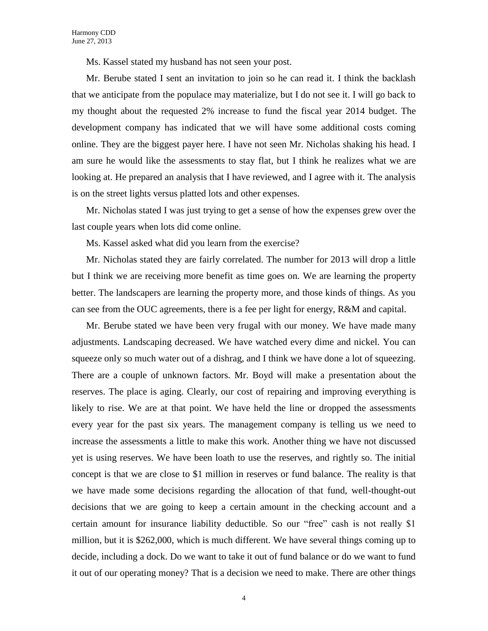Ms. Kassel stated my husband has not seen your post.

Mr. Berube stated I sent an invitation to join so he can read it. I think the backlash that we anticipate from the populace may materialize, but I do not see it. I will go back to my thought about the requested 2% increase to fund the fiscal year 2014 budget. The development company has indicated that we will have some additional costs coming online. They are the biggest payer here. I have not seen Mr. Nicholas shaking his head. I am sure he would like the assessments to stay flat, but I think he realizes what we are looking at. He prepared an analysis that I have reviewed, and I agree with it. The analysis is on the street lights versus platted lots and other expenses.

Mr. Nicholas stated I was just trying to get a sense of how the expenses grew over the last couple years when lots did come online.

Ms. Kassel asked what did you learn from the exercise?

Mr. Nicholas stated they are fairly correlated. The number for 2013 will drop a little but I think we are receiving more benefit as time goes on. We are learning the property better. The landscapers are learning the property more, and those kinds of things. As you can see from the OUC agreements, there is a fee per light for energy, R&M and capital.

Mr. Berube stated we have been very frugal with our money. We have made many adjustments. Landscaping decreased. We have watched every dime and nickel. You can squeeze only so much water out of a dishrag, and I think we have done a lot of squeezing. There are a couple of unknown factors. Mr. Boyd will make a presentation about the reserves. The place is aging. Clearly, our cost of repairing and improving everything is likely to rise. We are at that point. We have held the line or dropped the assessments every year for the past six years. The management company is telling us we need to increase the assessments a little to make this work. Another thing we have not discussed yet is using reserves. We have been loath to use the reserves, and rightly so. The initial concept is that we are close to \$1 million in reserves or fund balance. The reality is that we have made some decisions regarding the allocation of that fund, well-thought-out decisions that we are going to keep a certain amount in the checking account and a certain amount for insurance liability deductible. So our "free" cash is not really \$1 million, but it is \$262,000, which is much different. We have several things coming up to decide, including a dock. Do we want to take it out of fund balance or do we want to fund it out of our operating money? That is a decision we need to make. There are other things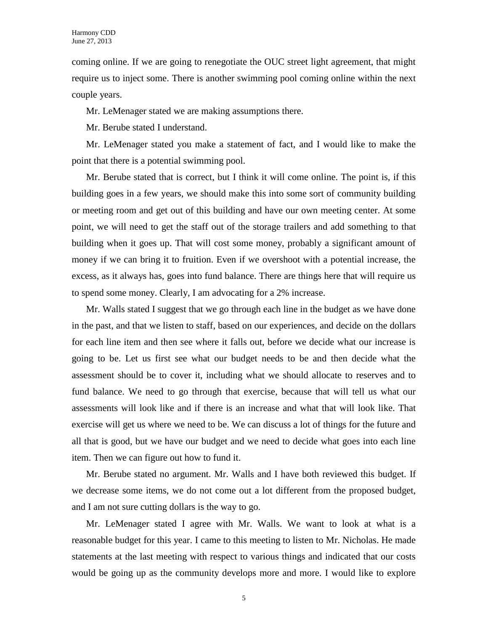coming online. If we are going to renegotiate the OUC street light agreement, that might require us to inject some. There is another swimming pool coming online within the next couple years.

Mr. LeMenager stated we are making assumptions there.

Mr. Berube stated I understand.

Mr. LeMenager stated you make a statement of fact, and I would like to make the point that there is a potential swimming pool.

Mr. Berube stated that is correct, but I think it will come online. The point is, if this building goes in a few years, we should make this into some sort of community building or meeting room and get out of this building and have our own meeting center. At some point, we will need to get the staff out of the storage trailers and add something to that building when it goes up. That will cost some money, probably a significant amount of money if we can bring it to fruition. Even if we overshoot with a potential increase, the excess, as it always has, goes into fund balance. There are things here that will require us to spend some money. Clearly, I am advocating for a 2% increase.

Mr. Walls stated I suggest that we go through each line in the budget as we have done in the past, and that we listen to staff, based on our experiences, and decide on the dollars for each line item and then see where it falls out, before we decide what our increase is going to be. Let us first see what our budget needs to be and then decide what the assessment should be to cover it, including what we should allocate to reserves and to fund balance. We need to go through that exercise, because that will tell us what our assessments will look like and if there is an increase and what that will look like. That exercise will get us where we need to be. We can discuss a lot of things for the future and all that is good, but we have our budget and we need to decide what goes into each line item. Then we can figure out how to fund it.

Mr. Berube stated no argument. Mr. Walls and I have both reviewed this budget. If we decrease some items, we do not come out a lot different from the proposed budget, and I am not sure cutting dollars is the way to go.

Mr. LeMenager stated I agree with Mr. Walls. We want to look at what is a reasonable budget for this year. I came to this meeting to listen to Mr. Nicholas. He made statements at the last meeting with respect to various things and indicated that our costs would be going up as the community develops more and more. I would like to explore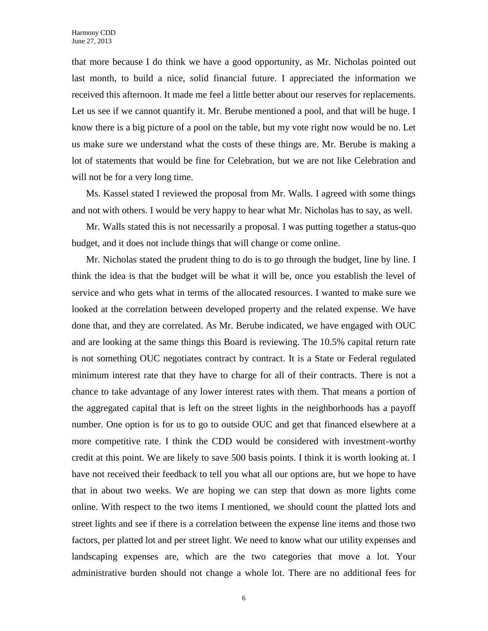that more because I do think we have a good opportunity, as Mr. Nicholas pointed out last month, to build a nice, solid financial future. I appreciated the information we received this afternoon. It made me feel a little better about our reserves for replacements. Let us see if we cannot quantify it. Mr. Berube mentioned a pool, and that will be huge. I know there is a big picture of a pool on the table, but my vote right now would be no. Let us make sure we understand what the costs of these things are. Mr. Berube is making a lot of statements that would be fine for Celebration, but we are not like Celebration and will not be for a very long time.

Ms. Kassel stated I reviewed the proposal from Mr. Walls. I agreed with some things and not with others. I would be very happy to hear what Mr. Nicholas has to say, as well.

Mr. Walls stated this is not necessarily a proposal. I was putting together a status-quo budget, and it does not include things that will change or come online.

Mr. Nicholas stated the prudent thing to do is to go through the budget, line by line. I think the idea is that the budget will be what it will be, once you establish the level of service and who gets what in terms of the allocated resources. I wanted to make sure we looked at the correlation between developed property and the related expense. We have done that, and they are correlated. As Mr. Berube indicated, we have engaged with OUC and are looking at the same things this Board is reviewing. The 10.5% capital return rate is not something OUC negotiates contract by contract. It is a State or Federal regulated minimum interest rate that they have to charge for all of their contracts. There is not a chance to take advantage of any lower interest rates with them. That means a portion of the aggregated capital that is left on the street lights in the neighborhoods has a payoff number. One option is for us to go to outside OUC and get that financed elsewhere at a more competitive rate. I think the CDD would be considered with investment-worthy credit at this point. We are likely to save 500 basis points. I think it is worth looking at. I have not received their feedback to tell you what all our options are, but we hope to have that in about two weeks. We are hoping we can step that down as more lights come online. With respect to the two items I mentioned, we should count the platted lots and street lights and see if there is a correlation between the expense line items and those two factors, per platted lot and per street light. We need to know what our utility expenses and landscaping expenses are, which are the two categories that move a lot. Your administrative burden should not change a whole lot. There are no additional fees for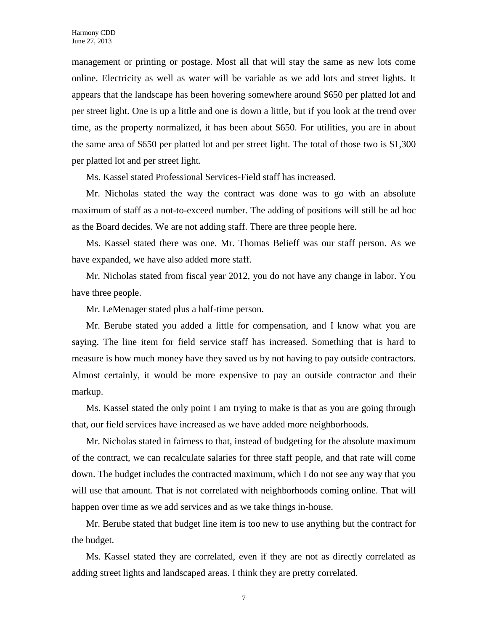management or printing or postage. Most all that will stay the same as new lots come online. Electricity as well as water will be variable as we add lots and street lights. It appears that the landscape has been hovering somewhere around \$650 per platted lot and per street light. One is up a little and one is down a little, but if you look at the trend over time, as the property normalized, it has been about \$650. For utilities, you are in about the same area of \$650 per platted lot and per street light. The total of those two is \$1,300 per platted lot and per street light.

Ms. Kassel stated Professional Services-Field staff has increased.

Mr. Nicholas stated the way the contract was done was to go with an absolute maximum of staff as a not-to-exceed number. The adding of positions will still be ad hoc as the Board decides. We are not adding staff. There are three people here.

Ms. Kassel stated there was one. Mr. Thomas Belieff was our staff person. As we have expanded, we have also added more staff.

Mr. Nicholas stated from fiscal year 2012, you do not have any change in labor. You have three people.

Mr. LeMenager stated plus a half-time person.

Mr. Berube stated you added a little for compensation, and I know what you are saying. The line item for field service staff has increased. Something that is hard to measure is how much money have they saved us by not having to pay outside contractors. Almost certainly, it would be more expensive to pay an outside contractor and their markup.

Ms. Kassel stated the only point I am trying to make is that as you are going through that, our field services have increased as we have added more neighborhoods.

Mr. Nicholas stated in fairness to that, instead of budgeting for the absolute maximum of the contract, we can recalculate salaries for three staff people, and that rate will come down. The budget includes the contracted maximum, which I do not see any way that you will use that amount. That is not correlated with neighborhoods coming online. That will happen over time as we add services and as we take things in-house.

Mr. Berube stated that budget line item is too new to use anything but the contract for the budget.

Ms. Kassel stated they are correlated, even if they are not as directly correlated as adding street lights and landscaped areas. I think they are pretty correlated.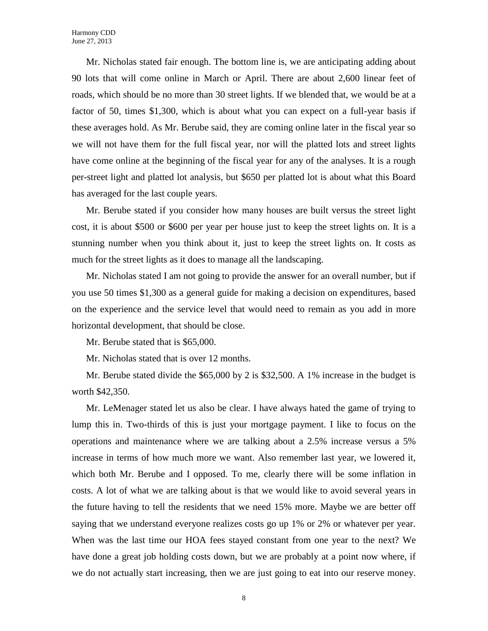Mr. Nicholas stated fair enough. The bottom line is, we are anticipating adding about 90 lots that will come online in March or April. There are about 2,600 linear feet of roads, which should be no more than 30 street lights. If we blended that, we would be at a factor of 50, times \$1,300, which is about what you can expect on a full-year basis if these averages hold. As Mr. Berube said, they are coming online later in the fiscal year so we will not have them for the full fiscal year, nor will the platted lots and street lights have come online at the beginning of the fiscal year for any of the analyses. It is a rough per-street light and platted lot analysis, but \$650 per platted lot is about what this Board has averaged for the last couple years.

Mr. Berube stated if you consider how many houses are built versus the street light cost, it is about \$500 or \$600 per year per house just to keep the street lights on. It is a stunning number when you think about it, just to keep the street lights on. It costs as much for the street lights as it does to manage all the landscaping.

Mr. Nicholas stated I am not going to provide the answer for an overall number, but if you use 50 times \$1,300 as a general guide for making a decision on expenditures, based on the experience and the service level that would need to remain as you add in more horizontal development, that should be close.

Mr. Berube stated that is \$65,000.

Mr. Nicholas stated that is over 12 months.

Mr. Berube stated divide the \$65,000 by 2 is \$32,500. A 1% increase in the budget is worth \$42,350.

Mr. LeMenager stated let us also be clear. I have always hated the game of trying to lump this in. Two-thirds of this is just your mortgage payment. I like to focus on the operations and maintenance where we are talking about a 2.5% increase versus a 5% increase in terms of how much more we want. Also remember last year, we lowered it, which both Mr. Berube and I opposed. To me, clearly there will be some inflation in costs. A lot of what we are talking about is that we would like to avoid several years in the future having to tell the residents that we need 15% more. Maybe we are better off saying that we understand everyone realizes costs go up 1% or 2% or whatever per year. When was the last time our HOA fees stayed constant from one year to the next? We have done a great job holding costs down, but we are probably at a point now where, if we do not actually start increasing, then we are just going to eat into our reserve money.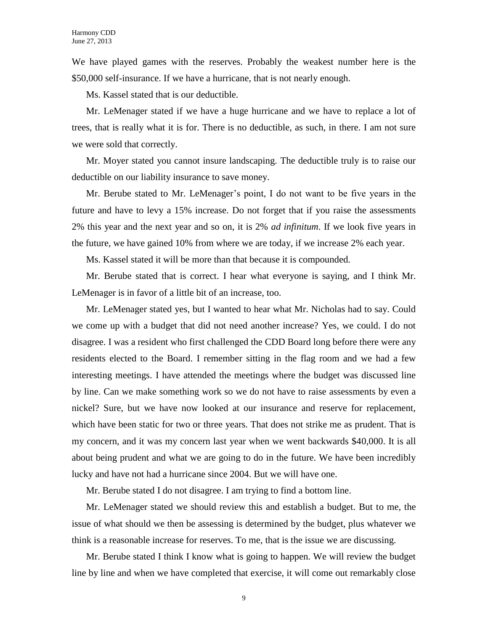We have played games with the reserves. Probably the weakest number here is the \$50,000 self-insurance. If we have a hurricane, that is not nearly enough.

Ms. Kassel stated that is our deductible.

Mr. LeMenager stated if we have a huge hurricane and we have to replace a lot of trees, that is really what it is for. There is no deductible, as such, in there. I am not sure we were sold that correctly.

Mr. Moyer stated you cannot insure landscaping. The deductible truly is to raise our deductible on our liability insurance to save money.

Mr. Berube stated to Mr. LeMenager's point, I do not want to be five years in the future and have to levy a 15% increase. Do not forget that if you raise the assessments 2% this year and the next year and so on, it is 2% *ad infinitum*. If we look five years in the future, we have gained 10% from where we are today, if we increase 2% each year.

Ms. Kassel stated it will be more than that because it is compounded.

Mr. Berube stated that is correct. I hear what everyone is saying, and I think Mr. LeMenager is in favor of a little bit of an increase, too.

Mr. LeMenager stated yes, but I wanted to hear what Mr. Nicholas had to say. Could we come up with a budget that did not need another increase? Yes, we could. I do not disagree. I was a resident who first challenged the CDD Board long before there were any residents elected to the Board. I remember sitting in the flag room and we had a few interesting meetings. I have attended the meetings where the budget was discussed line by line. Can we make something work so we do not have to raise assessments by even a nickel? Sure, but we have now looked at our insurance and reserve for replacement, which have been static for two or three years. That does not strike me as prudent. That is my concern, and it was my concern last year when we went backwards \$40,000. It is all about being prudent and what we are going to do in the future. We have been incredibly lucky and have not had a hurricane since 2004. But we will have one.

Mr. Berube stated I do not disagree. I am trying to find a bottom line.

Mr. LeMenager stated we should review this and establish a budget. But to me, the issue of what should we then be assessing is determined by the budget, plus whatever we think is a reasonable increase for reserves. To me, that is the issue we are discussing.

Mr. Berube stated I think I know what is going to happen. We will review the budget line by line and when we have completed that exercise, it will come out remarkably close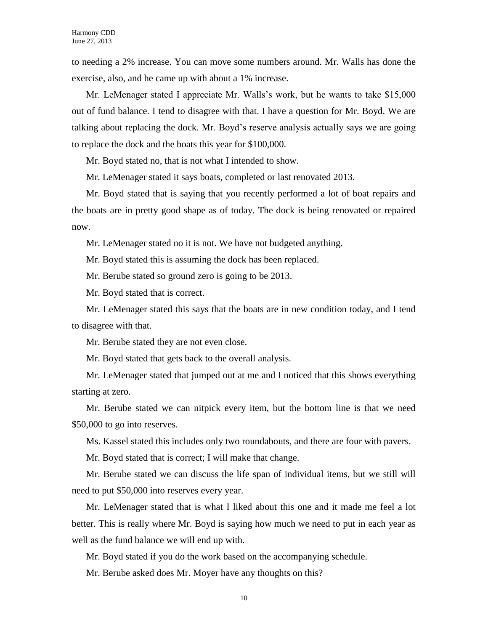to needing a 2% increase. You can move some numbers around. Mr. Walls has done the exercise, also, and he came up with about a 1% increase.

Mr. LeMenager stated I appreciate Mr. Walls's work, but he wants to take \$15,000 out of fund balance. I tend to disagree with that. I have a question for Mr. Boyd. We are talking about replacing the dock. Mr. Boyd's reserve analysis actually says we are going to replace the dock and the boats this year for \$100,000.

Mr. Boyd stated no, that is not what I intended to show.

Mr. LeMenager stated it says boats, completed or last renovated 2013.

Mr. Boyd stated that is saying that you recently performed a lot of boat repairs and the boats are in pretty good shape as of today. The dock is being renovated or repaired now.

Mr. LeMenager stated no it is not. We have not budgeted anything.

Mr. Boyd stated this is assuming the dock has been replaced.

Mr. Berube stated so ground zero is going to be 2013.

Mr. Boyd stated that is correct.

Mr. LeMenager stated this says that the boats are in new condition today, and I tend to disagree with that.

Mr. Berube stated they are not even close.

Mr. Boyd stated that gets back to the overall analysis.

Mr. LeMenager stated that jumped out at me and I noticed that this shows everything starting at zero.

Mr. Berube stated we can nitpick every item, but the bottom line is that we need \$50,000 to go into reserves.

Ms. Kassel stated this includes only two roundabouts, and there are four with pavers.

Mr. Boyd stated that is correct; I will make that change.

Mr. Berube stated we can discuss the life span of individual items, but we still will need to put \$50,000 into reserves every year.

Mr. LeMenager stated that is what I liked about this one and it made me feel a lot better. This is really where Mr. Boyd is saying how much we need to put in each year as well as the fund balance we will end up with.

Mr. Boyd stated if you do the work based on the accompanying schedule.

Mr. Berube asked does Mr. Moyer have any thoughts on this?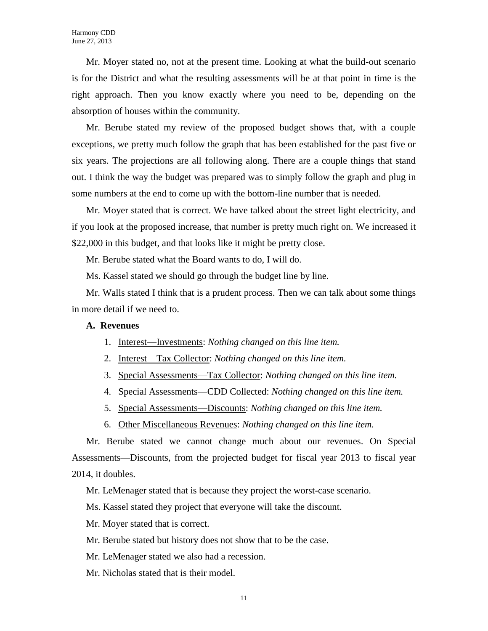Mr. Moyer stated no, not at the present time. Looking at what the build-out scenario is for the District and what the resulting assessments will be at that point in time is the right approach. Then you know exactly where you need to be, depending on the absorption of houses within the community.

Mr. Berube stated my review of the proposed budget shows that, with a couple exceptions, we pretty much follow the graph that has been established for the past five or six years. The projections are all following along. There are a couple things that stand out. I think the way the budget was prepared was to simply follow the graph and plug in some numbers at the end to come up with the bottom-line number that is needed.

Mr. Moyer stated that is correct. We have talked about the street light electricity, and if you look at the proposed increase, that number is pretty much right on. We increased it \$22,000 in this budget, and that looks like it might be pretty close.

Mr. Berube stated what the Board wants to do, I will do.

Ms. Kassel stated we should go through the budget line by line.

Mr. Walls stated I think that is a prudent process. Then we can talk about some things in more detail if we need to.

#### **A. Revenues**

- 1. Interest—Investments: *Nothing changed on this line item.*
- 2. Interest—Tax Collector: *Nothing changed on this line item.*
- 3. Special Assessments—Tax Collector: *Nothing changed on this line item.*
- 4. Special Assessments—CDD Collected: *Nothing changed on this line item.*
- 5. Special Assessments—Discounts: *Nothing changed on this line item.*
- 6. Other Miscellaneous Revenues: *Nothing changed on this line item.*

Mr. Berube stated we cannot change much about our revenues. On Special Assessments—Discounts, from the projected budget for fiscal year 2013 to fiscal year 2014, it doubles.

Mr. LeMenager stated that is because they project the worst-case scenario.

Ms. Kassel stated they project that everyone will take the discount.

- Mr. Moyer stated that is correct.
- Mr. Berube stated but history does not show that to be the case.
- Mr. LeMenager stated we also had a recession.
- Mr. Nicholas stated that is their model.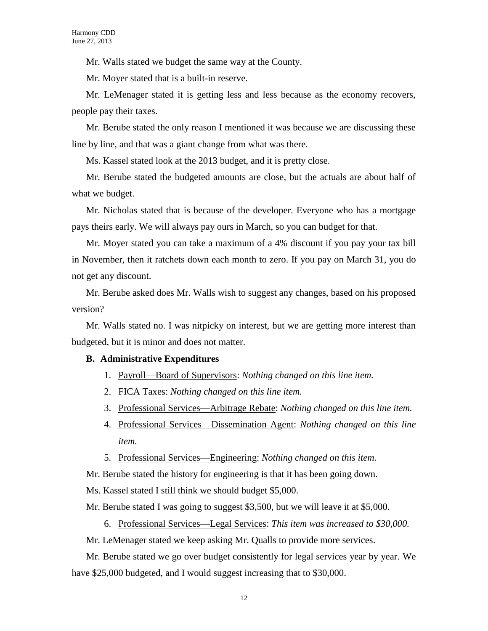Mr. Walls stated we budget the same way at the County.

Mr. Moyer stated that is a built-in reserve.

Mr. LeMenager stated it is getting less and less because as the economy recovers, people pay their taxes.

Mr. Berube stated the only reason I mentioned it was because we are discussing these line by line, and that was a giant change from what was there.

Ms. Kassel stated look at the 2013 budget, and it is pretty close.

Mr. Berube stated the budgeted amounts are close, but the actuals are about half of what we budget.

Mr. Nicholas stated that is because of the developer. Everyone who has a mortgage pays theirs early. We will always pay ours in March, so you can budget for that.

Mr. Moyer stated you can take a maximum of a 4% discount if you pay your tax bill in November, then it ratchets down each month to zero. If you pay on March 31, you do not get any discount.

Mr. Berube asked does Mr. Walls wish to suggest any changes, based on his proposed version?

Mr. Walls stated no. I was nitpicky on interest, but we are getting more interest than budgeted, but it is minor and does not matter.

#### **B. Administrative Expenditures**

- 1. Payroll—Board of Supervisors: *Nothing changed on this line item.*
- 2. FICA Taxes: *Nothing changed on this line item.*
- 3. Professional Services—Arbitrage Rebate: *Nothing changed on this line item.*
- 4. Professional Services—Dissemination Agent: *Nothing changed on this line item.*
- 5. Professional Services—Engineering: *Nothing changed on this item.*

Mr. Berube stated the history for engineering is that it has been going down.

Ms. Kassel stated I still think we should budget \$5,000.

Mr. Berube stated I was going to suggest \$3,500, but we will leave it at \$5,000.

6. Professional Services—Legal Services: *This item was increased to \$30,000.*

Mr. LeMenager stated we keep asking Mr. Qualls to provide more services.

Mr. Berube stated we go over budget consistently for legal services year by year. We have \$25,000 budgeted, and I would suggest increasing that to \$30,000.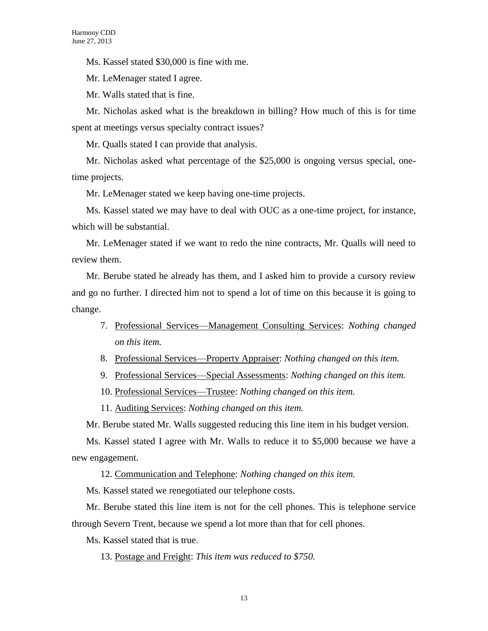Ms. Kassel stated \$30,000 is fine with me.

Mr. LeMenager stated I agree.

Mr. Walls stated that is fine.

Mr. Nicholas asked what is the breakdown in billing? How much of this is for time spent at meetings versus specialty contract issues?

Mr. Qualls stated I can provide that analysis.

Mr. Nicholas asked what percentage of the \$25,000 is ongoing versus special, onetime projects.

Mr. LeMenager stated we keep having one-time projects.

Ms. Kassel stated we may have to deal with OUC as a one-time project, for instance, which will be substantial.

Mr. LeMenager stated if we want to redo the nine contracts, Mr. Qualls will need to review them.

Mr. Berube stated he already has them, and I asked him to provide a cursory review and go no further. I directed him not to spend a lot of time on this because it is going to change.

- 7. Professional Services—Management Consulting Services: *Nothing changed on this item.*
- 8. Professional Services—Property Appraiser: *Nothing changed on this item.*
- 9. Professional Services—Special Assessments: *Nothing changed on this item.*
- 10. Professional Services—Trustee: *Nothing changed on this item.*

11. Auditing Services: *Nothing changed on this item.*

Mr. Berube stated Mr. Walls suggested reducing this line item in his budget version.

Ms. Kassel stated I agree with Mr. Walls to reduce it to \$5,000 because we have a new engagement.

12. Communication and Telephone: *Nothing changed on this item.*

Ms. Kassel stated we renegotiated our telephone costs.

Mr. Berube stated this line item is not for the cell phones. This is telephone service through Severn Trent, because we spend a lot more than that for cell phones.

Ms. Kassel stated that is true.

13. Postage and Freight: *This item was reduced to \$750.*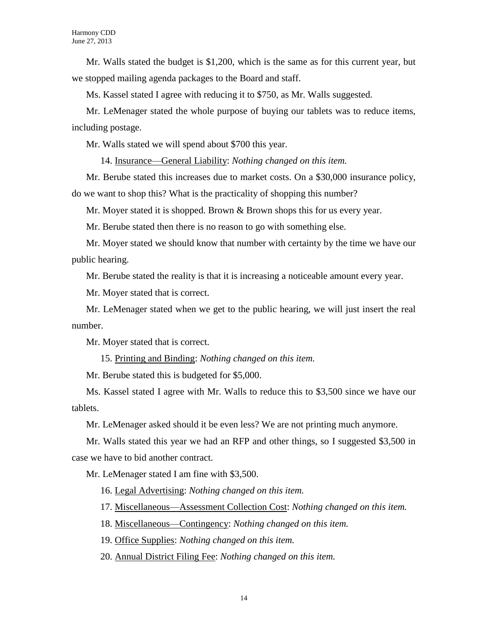Mr. Walls stated the budget is \$1,200, which is the same as for this current year, but we stopped mailing agenda packages to the Board and staff.

Ms. Kassel stated I agree with reducing it to \$750, as Mr. Walls suggested.

Mr. LeMenager stated the whole purpose of buying our tablets was to reduce items, including postage.

Mr. Walls stated we will spend about \$700 this year.

14. Insurance—General Liability: *Nothing changed on this item.*

Mr. Berube stated this increases due to market costs. On a \$30,000 insurance policy, do we want to shop this? What is the practicality of shopping this number?

Mr. Moyer stated it is shopped. Brown & Brown shops this for us every year.

Mr. Berube stated then there is no reason to go with something else.

Mr. Moyer stated we should know that number with certainty by the time we have our public hearing.

Mr. Berube stated the reality is that it is increasing a noticeable amount every year.

Mr. Moyer stated that is correct.

Mr. LeMenager stated when we get to the public hearing, we will just insert the real number.

Mr. Moyer stated that is correct.

15. Printing and Binding: *Nothing changed on this item.*

Mr. Berube stated this is budgeted for \$5,000.

Ms. Kassel stated I agree with Mr. Walls to reduce this to \$3,500 since we have our tablets.

Mr. LeMenager asked should it be even less? We are not printing much anymore.

Mr. Walls stated this year we had an RFP and other things, so I suggested \$3,500 in case we have to bid another contract.

Mr. LeMenager stated I am fine with \$3,500.

16. Legal Advertising: *Nothing changed on this item.*

17. Miscellaneous—Assessment Collection Cost: *Nothing changed on this item.*

18. Miscellaneous—Contingency: *Nothing changed on this item.*

19. Office Supplies: *Nothing changed on this item.*

20. Annual District Filing Fee: *Nothing changed on this item.*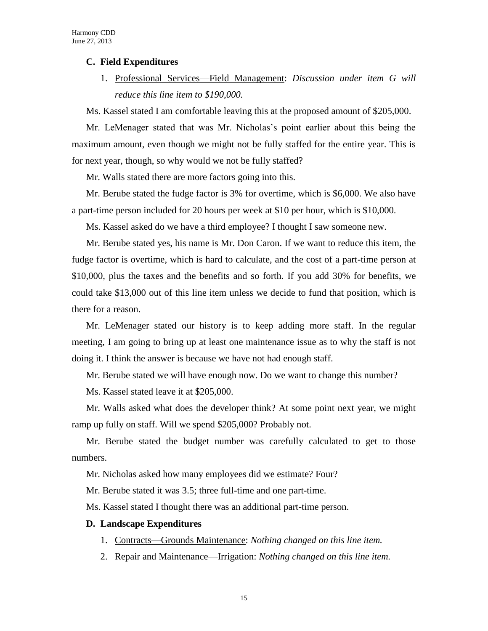#### **C. Field Expenditures**

1. Professional Services—Field Management: *Discussion under item G will reduce this line item to \$190,000.*

Ms. Kassel stated I am comfortable leaving this at the proposed amount of \$205,000.

Mr. LeMenager stated that was Mr. Nicholas's point earlier about this being the maximum amount, even though we might not be fully staffed for the entire year. This is for next year, though, so why would we not be fully staffed?

Mr. Walls stated there are more factors going into this.

Mr. Berube stated the fudge factor is 3% for overtime, which is \$6,000. We also have a part-time person included for 20 hours per week at \$10 per hour, which is \$10,000.

Ms. Kassel asked do we have a third employee? I thought I saw someone new.

Mr. Berube stated yes, his name is Mr. Don Caron. If we want to reduce this item, the fudge factor is overtime, which is hard to calculate, and the cost of a part-time person at \$10,000, plus the taxes and the benefits and so forth. If you add 30% for benefits, we could take \$13,000 out of this line item unless we decide to fund that position, which is there for a reason.

Mr. LeMenager stated our history is to keep adding more staff. In the regular meeting, I am going to bring up at least one maintenance issue as to why the staff is not doing it. I think the answer is because we have not had enough staff.

Mr. Berube stated we will have enough now. Do we want to change this number?

Ms. Kassel stated leave it at \$205,000.

Mr. Walls asked what does the developer think? At some point next year, we might ramp up fully on staff. Will we spend \$205,000? Probably not.

Mr. Berube stated the budget number was carefully calculated to get to those numbers.

Mr. Nicholas asked how many employees did we estimate? Four?

Mr. Berube stated it was 3.5; three full-time and one part-time.

Ms. Kassel stated I thought there was an additional part-time person.

#### **D. Landscape Expenditures**

- 1. Contracts—Grounds Maintenance: *Nothing changed on this line item.*
- 2. Repair and Maintenance—Irrigation: *Nothing changed on this line item.*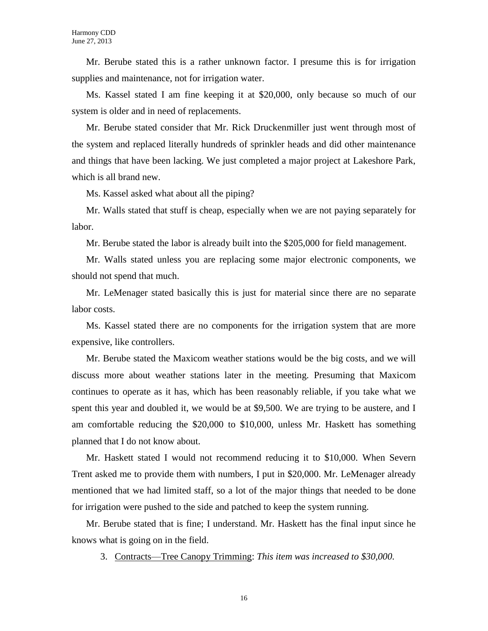Mr. Berube stated this is a rather unknown factor. I presume this is for irrigation supplies and maintenance, not for irrigation water.

Ms. Kassel stated I am fine keeping it at \$20,000, only because so much of our system is older and in need of replacements.

Mr. Berube stated consider that Mr. Rick Druckenmiller just went through most of the system and replaced literally hundreds of sprinkler heads and did other maintenance and things that have been lacking. We just completed a major project at Lakeshore Park, which is all brand new.

Ms. Kassel asked what about all the piping?

Mr. Walls stated that stuff is cheap, especially when we are not paying separately for labor.

Mr. Berube stated the labor is already built into the \$205,000 for field management.

Mr. Walls stated unless you are replacing some major electronic components, we should not spend that much.

Mr. LeMenager stated basically this is just for material since there are no separate labor costs.

Ms. Kassel stated there are no components for the irrigation system that are more expensive, like controllers.

Mr. Berube stated the Maxicom weather stations would be the big costs, and we will discuss more about weather stations later in the meeting. Presuming that Maxicom continues to operate as it has, which has been reasonably reliable, if you take what we spent this year and doubled it, we would be at \$9,500. We are trying to be austere, and I am comfortable reducing the \$20,000 to \$10,000, unless Mr. Haskett has something planned that I do not know about.

Mr. Haskett stated I would not recommend reducing it to \$10,000. When Severn Trent asked me to provide them with numbers, I put in \$20,000. Mr. LeMenager already mentioned that we had limited staff, so a lot of the major things that needed to be done for irrigation were pushed to the side and patched to keep the system running.

Mr. Berube stated that is fine; I understand. Mr. Haskett has the final input since he knows what is going on in the field.

3. Contracts—Tree Canopy Trimming: *This item was increased to \$30,000.*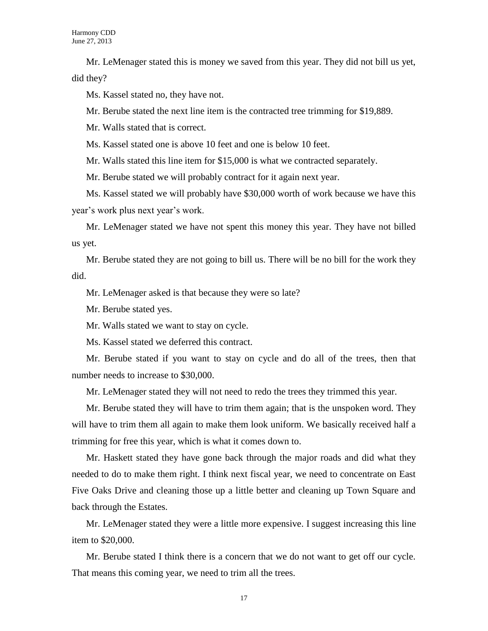Mr. LeMenager stated this is money we saved from this year. They did not bill us yet, did they?

Ms. Kassel stated no, they have not.

Mr. Berube stated the next line item is the contracted tree trimming for \$19,889.

Mr. Walls stated that is correct.

Ms. Kassel stated one is above 10 feet and one is below 10 feet.

Mr. Walls stated this line item for \$15,000 is what we contracted separately.

Mr. Berube stated we will probably contract for it again next year.

Ms. Kassel stated we will probably have \$30,000 worth of work because we have this year's work plus next year's work.

Mr. LeMenager stated we have not spent this money this year. They have not billed us yet.

Mr. Berube stated they are not going to bill us. There will be no bill for the work they did.

Mr. LeMenager asked is that because they were so late?

Mr. Berube stated yes.

Mr. Walls stated we want to stay on cycle.

Ms. Kassel stated we deferred this contract.

Mr. Berube stated if you want to stay on cycle and do all of the trees, then that number needs to increase to \$30,000.

Mr. LeMenager stated they will not need to redo the trees they trimmed this year.

Mr. Berube stated they will have to trim them again; that is the unspoken word. They will have to trim them all again to make them look uniform. We basically received half a trimming for free this year, which is what it comes down to.

Mr. Haskett stated they have gone back through the major roads and did what they needed to do to make them right. I think next fiscal year, we need to concentrate on East Five Oaks Drive and cleaning those up a little better and cleaning up Town Square and back through the Estates.

Mr. LeMenager stated they were a little more expensive. I suggest increasing this line item to \$20,000.

Mr. Berube stated I think there is a concern that we do not want to get off our cycle. That means this coming year, we need to trim all the trees.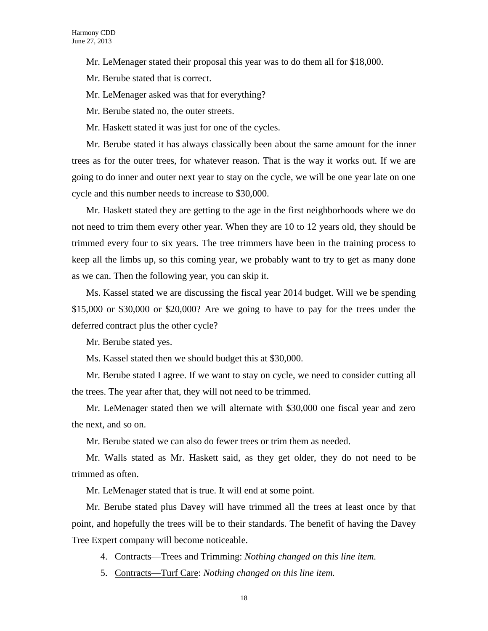Mr. LeMenager stated their proposal this year was to do them all for \$18,000.

Mr. Berube stated that is correct.

Mr. LeMenager asked was that for everything?

Mr. Berube stated no, the outer streets.

Mr. Haskett stated it was just for one of the cycles.

Mr. Berube stated it has always classically been about the same amount for the inner trees as for the outer trees, for whatever reason. That is the way it works out. If we are going to do inner and outer next year to stay on the cycle, we will be one year late on one cycle and this number needs to increase to \$30,000.

Mr. Haskett stated they are getting to the age in the first neighborhoods where we do not need to trim them every other year. When they are 10 to 12 years old, they should be trimmed every four to six years. The tree trimmers have been in the training process to keep all the limbs up, so this coming year, we probably want to try to get as many done as we can. Then the following year, you can skip it.

Ms. Kassel stated we are discussing the fiscal year 2014 budget. Will we be spending \$15,000 or \$30,000 or \$20,000? Are we going to have to pay for the trees under the deferred contract plus the other cycle?

Mr. Berube stated yes.

Ms. Kassel stated then we should budget this at \$30,000.

Mr. Berube stated I agree. If we want to stay on cycle, we need to consider cutting all the trees. The year after that, they will not need to be trimmed.

Mr. LeMenager stated then we will alternate with \$30,000 one fiscal year and zero the next, and so on.

Mr. Berube stated we can also do fewer trees or trim them as needed.

Mr. Walls stated as Mr. Haskett said, as they get older, they do not need to be trimmed as often.

Mr. LeMenager stated that is true. It will end at some point.

Mr. Berube stated plus Davey will have trimmed all the trees at least once by that point, and hopefully the trees will be to their standards. The benefit of having the Davey Tree Expert company will become noticeable.

- 4. Contracts—Trees and Trimming: *Nothing changed on this line item.*
- 5. Contracts—Turf Care: *Nothing changed on this line item.*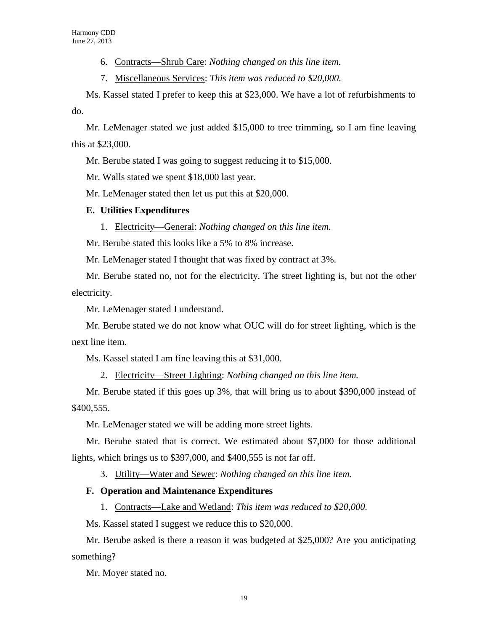6. Contracts—Shrub Care: *Nothing changed on this line item.*

7. Miscellaneous Services: *This item was reduced to \$20,000.*

Ms. Kassel stated I prefer to keep this at \$23,000. We have a lot of refurbishments to do.

Mr. LeMenager stated we just added \$15,000 to tree trimming, so I am fine leaving this at \$23,000.

Mr. Berube stated I was going to suggest reducing it to \$15,000.

Mr. Walls stated we spent \$18,000 last year.

Mr. LeMenager stated then let us put this at \$20,000.

#### **E. Utilities Expenditures**

1. Electricity—General: *Nothing changed on this line item.*

Mr. Berube stated this looks like a 5% to 8% increase.

Mr. LeMenager stated I thought that was fixed by contract at 3%.

Mr. Berube stated no, not for the electricity. The street lighting is, but not the other electricity.

Mr. LeMenager stated I understand.

Mr. Berube stated we do not know what OUC will do for street lighting, which is the next line item.

Ms. Kassel stated I am fine leaving this at \$31,000.

2. Electricity—Street Lighting: *Nothing changed on this line item.*

Mr. Berube stated if this goes up 3%, that will bring us to about \$390,000 instead of \$400,555.

Mr. LeMenager stated we will be adding more street lights.

Mr. Berube stated that is correct. We estimated about \$7,000 for those additional lights, which brings us to \$397,000, and \$400,555 is not far off.

3. Utility—Water and Sewer: *Nothing changed on this line item.*

### **F. Operation and Maintenance Expenditures**

1. Contracts—Lake and Wetland: *This item was reduced to \$20,000.*

Ms. Kassel stated I suggest we reduce this to \$20,000.

Mr. Berube asked is there a reason it was budgeted at \$25,000? Are you anticipating something?

Mr. Moyer stated no.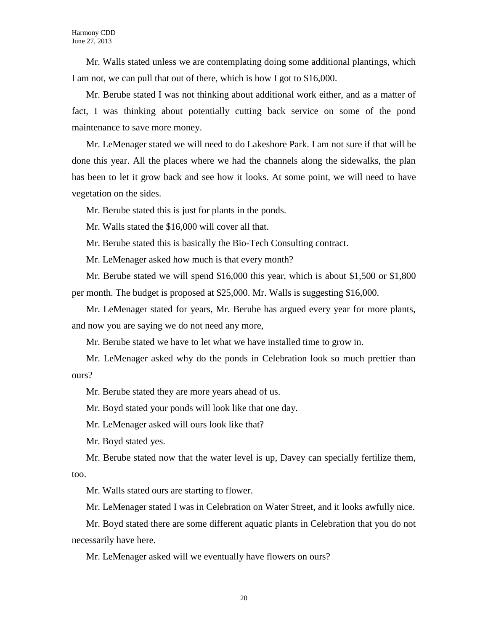Mr. Walls stated unless we are contemplating doing some additional plantings, which I am not, we can pull that out of there, which is how I got to \$16,000.

Mr. Berube stated I was not thinking about additional work either, and as a matter of fact, I was thinking about potentially cutting back service on some of the pond maintenance to save more money.

Mr. LeMenager stated we will need to do Lakeshore Park. I am not sure if that will be done this year. All the places where we had the channels along the sidewalks, the plan has been to let it grow back and see how it looks. At some point, we will need to have vegetation on the sides.

Mr. Berube stated this is just for plants in the ponds.

Mr. Walls stated the \$16,000 will cover all that.

Mr. Berube stated this is basically the Bio-Tech Consulting contract.

Mr. LeMenager asked how much is that every month?

Mr. Berube stated we will spend \$16,000 this year, which is about \$1,500 or \$1,800 per month. The budget is proposed at \$25,000. Mr. Walls is suggesting \$16,000.

Mr. LeMenager stated for years, Mr. Berube has argued every year for more plants, and now you are saying we do not need any more,

Mr. Berube stated we have to let what we have installed time to grow in.

Mr. LeMenager asked why do the ponds in Celebration look so much prettier than ours?

Mr. Berube stated they are more years ahead of us.

Mr. Boyd stated your ponds will look like that one day.

Mr. LeMenager asked will ours look like that?

Mr. Boyd stated yes.

Mr. Berube stated now that the water level is up, Davey can specially fertilize them, too.

Mr. Walls stated ours are starting to flower.

Mr. LeMenager stated I was in Celebration on Water Street, and it looks awfully nice.

Mr. Boyd stated there are some different aquatic plants in Celebration that you do not necessarily have here.

Mr. LeMenager asked will we eventually have flowers on ours?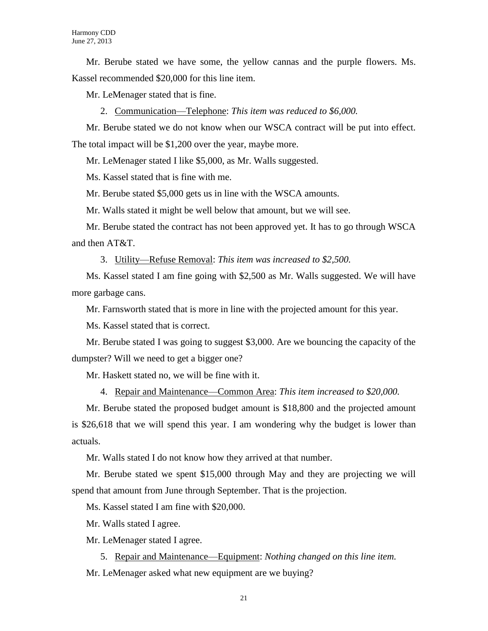Mr. Berube stated we have some, the yellow cannas and the purple flowers. Ms. Kassel recommended \$20,000 for this line item.

Mr. LeMenager stated that is fine.

2. Communication—Telephone: *This item was reduced to \$6,000.*

Mr. Berube stated we do not know when our WSCA contract will be put into effect. The total impact will be \$1,200 over the year, maybe more.

Mr. LeMenager stated I like \$5,000, as Mr. Walls suggested.

Ms. Kassel stated that is fine with me.

Mr. Berube stated \$5,000 gets us in line with the WSCA amounts.

Mr. Walls stated it might be well below that amount, but we will see.

Mr. Berube stated the contract has not been approved yet. It has to go through WSCA and then AT&T.

3. Utility—Refuse Removal: *This item was increased to \$2,500.*

Ms. Kassel stated I am fine going with \$2,500 as Mr. Walls suggested. We will have more garbage cans.

Mr. Farnsworth stated that is more in line with the projected amount for this year.

Ms. Kassel stated that is correct.

Mr. Berube stated I was going to suggest \$3,000. Are we bouncing the capacity of the dumpster? Will we need to get a bigger one?

Mr. Haskett stated no, we will be fine with it.

4. Repair and Maintenance—Common Area: *This item increased to \$20,000.*

Mr. Berube stated the proposed budget amount is \$18,800 and the projected amount is \$26,618 that we will spend this year. I am wondering why the budget is lower than actuals.

Mr. Walls stated I do not know how they arrived at that number.

Mr. Berube stated we spent \$15,000 through May and they are projecting we will spend that amount from June through September. That is the projection.

Ms. Kassel stated I am fine with \$20,000.

Mr. Walls stated I agree.

Mr. LeMenager stated I agree.

5. Repair and Maintenance—Equipment: *Nothing changed on this line item.* Mr. LeMenager asked what new equipment are we buying?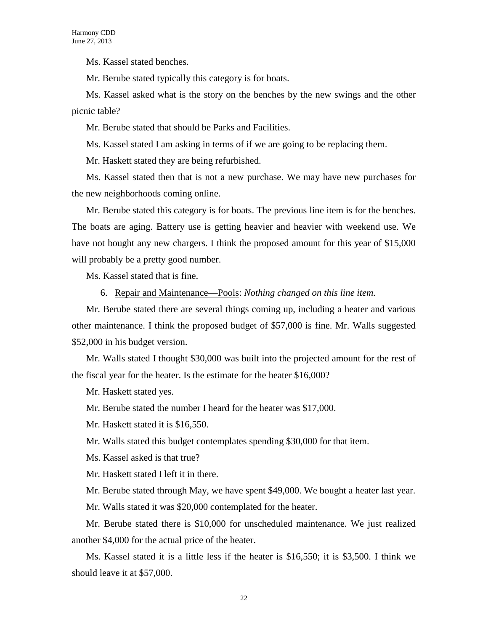Ms. Kassel stated benches.

Mr. Berube stated typically this category is for boats.

Ms. Kassel asked what is the story on the benches by the new swings and the other picnic table?

Mr. Berube stated that should be Parks and Facilities.

Ms. Kassel stated I am asking in terms of if we are going to be replacing them.

Mr. Haskett stated they are being refurbished.

Ms. Kassel stated then that is not a new purchase. We may have new purchases for the new neighborhoods coming online.

Mr. Berube stated this category is for boats. The previous line item is for the benches. The boats are aging. Battery use is getting heavier and heavier with weekend use. We have not bought any new chargers. I think the proposed amount for this year of \$15,000 will probably be a pretty good number.

Ms. Kassel stated that is fine.

6. Repair and Maintenance—Pools: *Nothing changed on this line item.*

Mr. Berube stated there are several things coming up, including a heater and various other maintenance. I think the proposed budget of \$57,000 is fine. Mr. Walls suggested \$52,000 in his budget version.

Mr. Walls stated I thought \$30,000 was built into the projected amount for the rest of the fiscal year for the heater. Is the estimate for the heater \$16,000?

Mr. Haskett stated yes.

Mr. Berube stated the number I heard for the heater was \$17,000.

Mr. Haskett stated it is \$16,550.

Mr. Walls stated this budget contemplates spending \$30,000 for that item.

Ms. Kassel asked is that true?

Mr. Haskett stated I left it in there.

Mr. Berube stated through May, we have spent \$49,000. We bought a heater last year.

Mr. Walls stated it was \$20,000 contemplated for the heater.

Mr. Berube stated there is \$10,000 for unscheduled maintenance. We just realized another \$4,000 for the actual price of the heater.

Ms. Kassel stated it is a little less if the heater is \$16,550; it is \$3,500. I think we should leave it at \$57,000.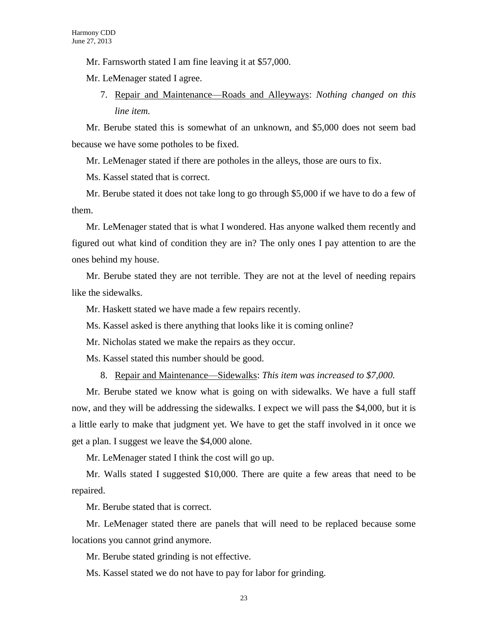Mr. Farnsworth stated I am fine leaving it at \$57,000.

Mr. LeMenager stated I agree.

7. Repair and Maintenance—Roads and Alleyways: *Nothing changed on this line item.*

Mr. Berube stated this is somewhat of an unknown, and \$5,000 does not seem bad because we have some potholes to be fixed.

Mr. LeMenager stated if there are potholes in the alleys, those are ours to fix.

Ms. Kassel stated that is correct.

Mr. Berube stated it does not take long to go through \$5,000 if we have to do a few of them.

Mr. LeMenager stated that is what I wondered. Has anyone walked them recently and figured out what kind of condition they are in? The only ones I pay attention to are the ones behind my house.

Mr. Berube stated they are not terrible. They are not at the level of needing repairs like the sidewalks.

Mr. Haskett stated we have made a few repairs recently.

Ms. Kassel asked is there anything that looks like it is coming online?

Mr. Nicholas stated we make the repairs as they occur.

Ms. Kassel stated this number should be good.

8. Repair and Maintenance—Sidewalks: *This item was increased to \$7,000.*

Mr. Berube stated we know what is going on with sidewalks. We have a full staff now, and they will be addressing the sidewalks. I expect we will pass the \$4,000, but it is a little early to make that judgment yet. We have to get the staff involved in it once we get a plan. I suggest we leave the \$4,000 alone.

Mr. LeMenager stated I think the cost will go up.

Mr. Walls stated I suggested \$10,000. There are quite a few areas that need to be repaired.

Mr. Berube stated that is correct.

Mr. LeMenager stated there are panels that will need to be replaced because some locations you cannot grind anymore.

Mr. Berube stated grinding is not effective.

Ms. Kassel stated we do not have to pay for labor for grinding.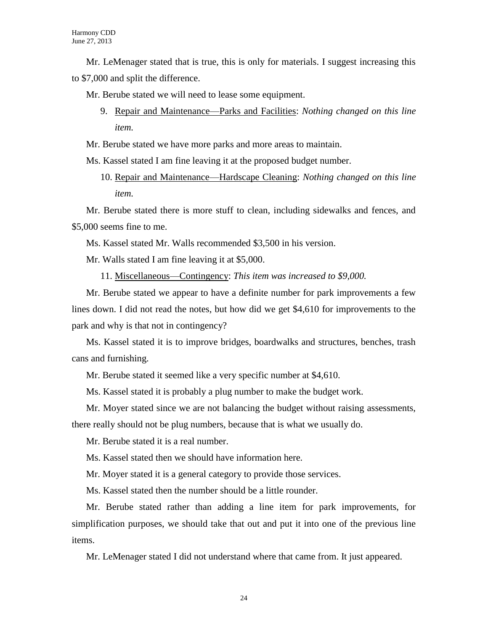Mr. LeMenager stated that is true, this is only for materials. I suggest increasing this to \$7,000 and split the difference.

Mr. Berube stated we will need to lease some equipment.

- 9. Repair and Maintenance—Parks and Facilities: *Nothing changed on this line item.*
- Mr. Berube stated we have more parks and more areas to maintain.

Ms. Kassel stated I am fine leaving it at the proposed budget number.

10. Repair and Maintenance—Hardscape Cleaning: *Nothing changed on this line item.*

Mr. Berube stated there is more stuff to clean, including sidewalks and fences, and \$5,000 seems fine to me.

Ms. Kassel stated Mr. Walls recommended \$3,500 in his version.

Mr. Walls stated I am fine leaving it at \$5,000.

11. Miscellaneous—Contingency: *This item was increased to \$9,000.*

Mr. Berube stated we appear to have a definite number for park improvements a few lines down. I did not read the notes, but how did we get \$4,610 for improvements to the park and why is that not in contingency?

Ms. Kassel stated it is to improve bridges, boardwalks and structures, benches, trash cans and furnishing.

Mr. Berube stated it seemed like a very specific number at \$4,610.

Ms. Kassel stated it is probably a plug number to make the budget work.

Mr. Moyer stated since we are not balancing the budget without raising assessments,

there really should not be plug numbers, because that is what we usually do.

Mr. Berube stated it is a real number.

Ms. Kassel stated then we should have information here.

Mr. Moyer stated it is a general category to provide those services.

Ms. Kassel stated then the number should be a little rounder.

Mr. Berube stated rather than adding a line item for park improvements, for simplification purposes, we should take that out and put it into one of the previous line items.

Mr. LeMenager stated I did not understand where that came from. It just appeared.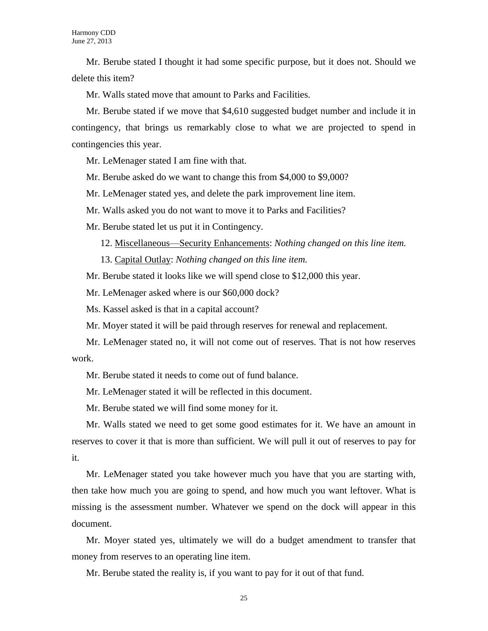Mr. Berube stated I thought it had some specific purpose, but it does not. Should we delete this item?

Mr. Walls stated move that amount to Parks and Facilities.

Mr. Berube stated if we move that \$4,610 suggested budget number and include it in contingency, that brings us remarkably close to what we are projected to spend in contingencies this year.

Mr. LeMenager stated I am fine with that.

Mr. Berube asked do we want to change this from \$4,000 to \$9,000?

Mr. LeMenager stated yes, and delete the park improvement line item.

Mr. Walls asked you do not want to move it to Parks and Facilities?

Mr. Berube stated let us put it in Contingency.

12. Miscellaneous—Security Enhancements: *Nothing changed on this line item.*

13. Capital Outlay: *Nothing changed on this line item.*

Mr. Berube stated it looks like we will spend close to \$12,000 this year.

Mr. LeMenager asked where is our \$60,000 dock?

Ms. Kassel asked is that in a capital account?

Mr. Moyer stated it will be paid through reserves for renewal and replacement.

Mr. LeMenager stated no, it will not come out of reserves. That is not how reserves work.

Mr. Berube stated it needs to come out of fund balance.

Mr. LeMenager stated it will be reflected in this document.

Mr. Berube stated we will find some money for it.

Mr. Walls stated we need to get some good estimates for it. We have an amount in reserves to cover it that is more than sufficient. We will pull it out of reserves to pay for it.

Mr. LeMenager stated you take however much you have that you are starting with, then take how much you are going to spend, and how much you want leftover. What is missing is the assessment number. Whatever we spend on the dock will appear in this document.

Mr. Moyer stated yes, ultimately we will do a budget amendment to transfer that money from reserves to an operating line item.

Mr. Berube stated the reality is, if you want to pay for it out of that fund.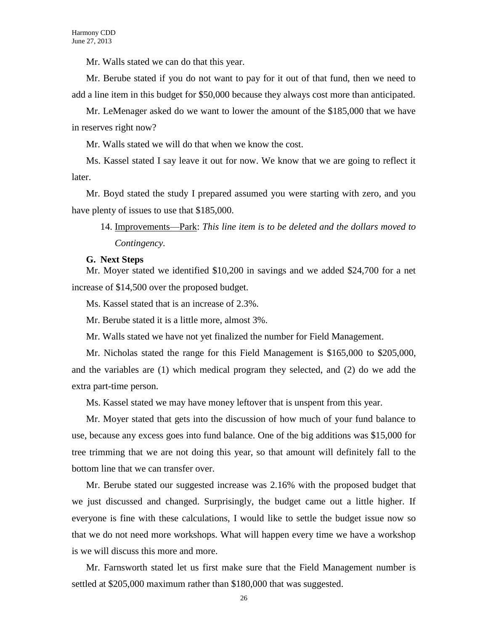Mr. Walls stated we can do that this year.

Mr. Berube stated if you do not want to pay for it out of that fund, then we need to add a line item in this budget for \$50,000 because they always cost more than anticipated.

Mr. LeMenager asked do we want to lower the amount of the \$185,000 that we have in reserves right now?

Mr. Walls stated we will do that when we know the cost.

Ms. Kassel stated I say leave it out for now. We know that we are going to reflect it later.

Mr. Boyd stated the study I prepared assumed you were starting with zero, and you have plenty of issues to use that \$185,000.

14. Improvements—Park: *This line item is to be deleted and the dollars moved to Contingency.* 

#### **G. Next Steps**

Mr. Moyer stated we identified \$10,200 in savings and we added \$24,700 for a net increase of \$14,500 over the proposed budget.

Ms. Kassel stated that is an increase of 2.3%.

Mr. Berube stated it is a little more, almost 3%.

Mr. Walls stated we have not yet finalized the number for Field Management.

Mr. Nicholas stated the range for this Field Management is \$165,000 to \$205,000, and the variables are (1) which medical program they selected, and (2) do we add the extra part-time person.

Ms. Kassel stated we may have money leftover that is unspent from this year.

Mr. Moyer stated that gets into the discussion of how much of your fund balance to use, because any excess goes into fund balance. One of the big additions was \$15,000 for tree trimming that we are not doing this year, so that amount will definitely fall to the bottom line that we can transfer over.

Mr. Berube stated our suggested increase was 2.16% with the proposed budget that we just discussed and changed. Surprisingly, the budget came out a little higher. If everyone is fine with these calculations, I would like to settle the budget issue now so that we do not need more workshops. What will happen every time we have a workshop is we will discuss this more and more.

Mr. Farnsworth stated let us first make sure that the Field Management number is settled at \$205,000 maximum rather than \$180,000 that was suggested.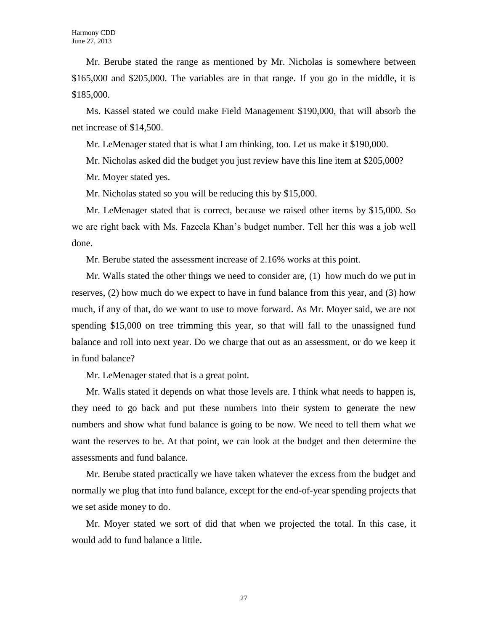Mr. Berube stated the range as mentioned by Mr. Nicholas is somewhere between \$165,000 and \$205,000. The variables are in that range. If you go in the middle, it is \$185,000.

Ms. Kassel stated we could make Field Management \$190,000, that will absorb the net increase of \$14,500.

Mr. LeMenager stated that is what I am thinking, too. Let us make it \$190,000.

Mr. Nicholas asked did the budget you just review have this line item at \$205,000?

Mr. Moyer stated yes.

Mr. Nicholas stated so you will be reducing this by \$15,000.

Mr. LeMenager stated that is correct, because we raised other items by \$15,000. So we are right back with Ms. Fazeela Khan's budget number. Tell her this was a job well done.

Mr. Berube stated the assessment increase of 2.16% works at this point.

Mr. Walls stated the other things we need to consider are, (1) how much do we put in reserves, (2) how much do we expect to have in fund balance from this year, and (3) how much, if any of that, do we want to use to move forward. As Mr. Moyer said, we are not spending \$15,000 on tree trimming this year, so that will fall to the unassigned fund balance and roll into next year. Do we charge that out as an assessment, or do we keep it in fund balance?

Mr. LeMenager stated that is a great point.

Mr. Walls stated it depends on what those levels are. I think what needs to happen is, they need to go back and put these numbers into their system to generate the new numbers and show what fund balance is going to be now. We need to tell them what we want the reserves to be. At that point, we can look at the budget and then determine the assessments and fund balance.

Mr. Berube stated practically we have taken whatever the excess from the budget and normally we plug that into fund balance, except for the end-of-year spending projects that we set aside money to do.

Mr. Moyer stated we sort of did that when we projected the total. In this case, it would add to fund balance a little.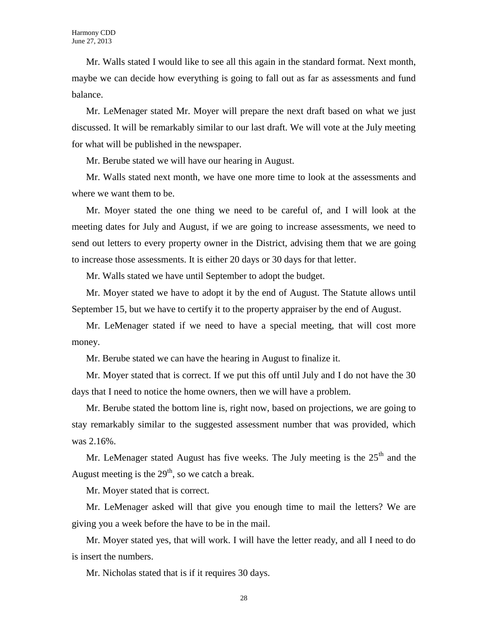Mr. Walls stated I would like to see all this again in the standard format. Next month, maybe we can decide how everything is going to fall out as far as assessments and fund balance.

Mr. LeMenager stated Mr. Moyer will prepare the next draft based on what we just discussed. It will be remarkably similar to our last draft. We will vote at the July meeting for what will be published in the newspaper.

Mr. Berube stated we will have our hearing in August.

Mr. Walls stated next month, we have one more time to look at the assessments and where we want them to be.

Mr. Moyer stated the one thing we need to be careful of, and I will look at the meeting dates for July and August, if we are going to increase assessments, we need to send out letters to every property owner in the District, advising them that we are going to increase those assessments. It is either 20 days or 30 days for that letter.

Mr. Walls stated we have until September to adopt the budget.

Mr. Moyer stated we have to adopt it by the end of August. The Statute allows until September 15, but we have to certify it to the property appraiser by the end of August.

Mr. LeMenager stated if we need to have a special meeting, that will cost more money.

Mr. Berube stated we can have the hearing in August to finalize it.

Mr. Moyer stated that is correct. If we put this off until July and I do not have the 30 days that I need to notice the home owners, then we will have a problem.

Mr. Berube stated the bottom line is, right now, based on projections, we are going to stay remarkably similar to the suggested assessment number that was provided, which was 2.16%.

Mr. LeMenager stated August has five weeks. The July meeting is the  $25<sup>th</sup>$  and the August meeting is the  $29<sup>th</sup>$ , so we catch a break.

Mr. Moyer stated that is correct.

Mr. LeMenager asked will that give you enough time to mail the letters? We are giving you a week before the have to be in the mail.

Mr. Moyer stated yes, that will work. I will have the letter ready, and all I need to do is insert the numbers.

Mr. Nicholas stated that is if it requires 30 days.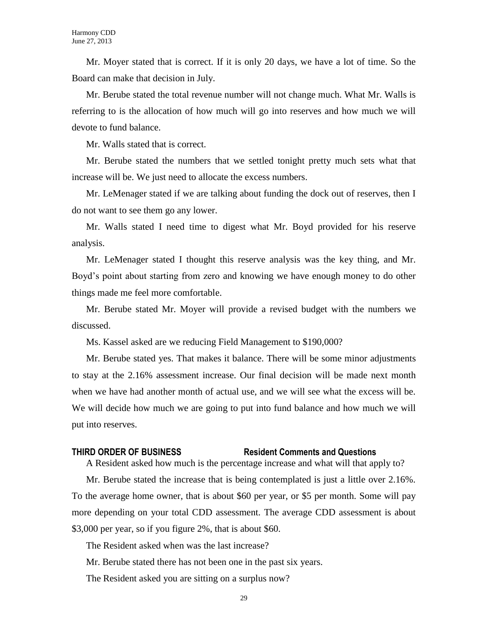Mr. Moyer stated that is correct. If it is only 20 days, we have a lot of time. So the Board can make that decision in July.

Mr. Berube stated the total revenue number will not change much. What Mr. Walls is referring to is the allocation of how much will go into reserves and how much we will devote to fund balance.

Mr. Walls stated that is correct.

Mr. Berube stated the numbers that we settled tonight pretty much sets what that increase will be. We just need to allocate the excess numbers.

Mr. LeMenager stated if we are talking about funding the dock out of reserves, then I do not want to see them go any lower.

Mr. Walls stated I need time to digest what Mr. Boyd provided for his reserve analysis.

Mr. LeMenager stated I thought this reserve analysis was the key thing, and Mr. Boyd's point about starting from zero and knowing we have enough money to do other things made me feel more comfortable.

Mr. Berube stated Mr. Moyer will provide a revised budget with the numbers we discussed.

Ms. Kassel asked are we reducing Field Management to \$190,000?

Mr. Berube stated yes. That makes it balance. There will be some minor adjustments to stay at the 2.16% assessment increase. Our final decision will be made next month when we have had another month of actual use, and we will see what the excess will be. We will decide how much we are going to put into fund balance and how much we will put into reserves.

#### **THIRD ORDER OF BUSINESS Resident Comments and Questions**

A Resident asked how much is the percentage increase and what will that apply to?

Mr. Berube stated the increase that is being contemplated is just a little over 2.16%. To the average home owner, that is about \$60 per year, or \$5 per month. Some will pay more depending on your total CDD assessment. The average CDD assessment is about \$3,000 per year, so if you figure 2%, that is about \$60.

The Resident asked when was the last increase?

Mr. Berube stated there has not been one in the past six years.

The Resident asked you are sitting on a surplus now?